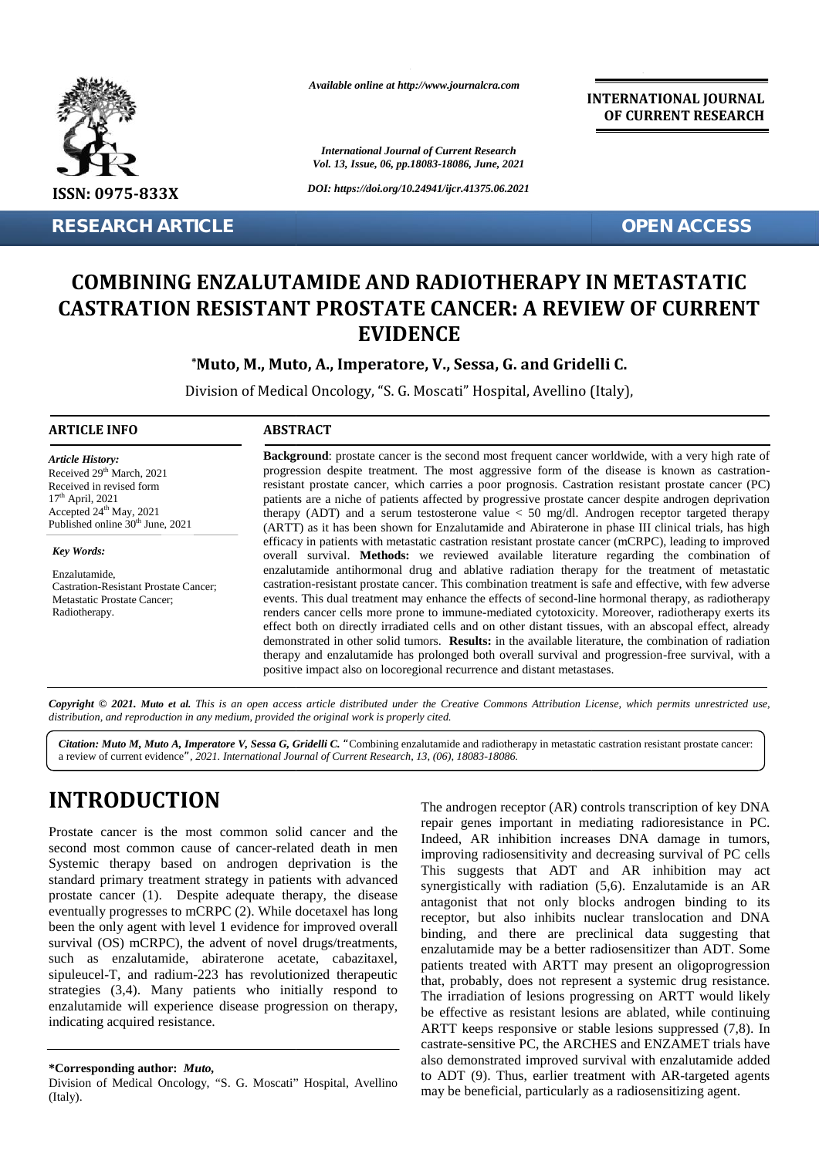

**RESEARCH ARTICLE OPEN ACCESS**

*Available online at http://www.journalcra.com*

*International Journal of Current Research Vol. 13, Issue, 06, pp.18083-18086, June, 2021*

*DOI: https://doi.org/10.24941/ijcr.41375.06.2021*

**INTERNATIONAL JOURNAL OF CURRENT RESEARCH**

# **COMBINING ENZALUTAMIDE AND RADIOTHERAPY IN METASTATIC CASTRATION RESISTANT PROSTATE CANCER: A REVIEW OF CURRENT CASTRATION RESISTANT PROSTATE EVIDENCE**

## **\*Muto, M., Muto, A., Imperatore, V., Sessa, G. and Gridelli C. G. and**

Division of Medical Oncology, "S. G. Moscati" Hospital, Avellino (Italy),

#### **ARTICLE INFO ABSTRACT ARTICLE ABSTRACT**

*Article History:* Received 29<sup>th</sup> March, 2021 Received 29 March, 2021<br>Received in revised form 17th April, 2021 Accepted  $24^{\text{th}}$  May, 2021 Published online 30<sup>th</sup> June, 2021 **COMBINING<br>
CASTRATION<br>
CASTRATION**<br>
LARTICLE INFO<br>
ARTICLE INFO<br>
Article History:<br>
Received in revised form<br>
Received in revised form<br>  $7^{\text{th}}$  April, 2021<br>
Accepted 24<sup>th</sup> May, 2021<br>
Accepted 24<sup>th</sup> May, 2021<br>
Published

*Key Words:*

Enzalutamide, Castration-Resistant Prostate Cancer; Metastatic Prostate Cancer; Radiotherapy.

**Background**: prostate cancer is the second most frequent cancer worldwide, with a very high rate of progression despite treatment. The most aggressive form of the disease is known as castrationresistant prostate cancer, which carries a poor prognosis. Castration resistant prostate cancer (PC) patients are a niche of patients affected by progressive prostate cancer despite androgen deprivation therapy (ADT) and a serum testosterone value  $\lt$  50 mg/dl. Androgen receptor targeted therapy (ARTT) as it has been shown for Enzalutamide and Abiraterone in phase III clinical trials, has high efficacy in patients with metastatic castration resistant prostate cancer (mCRPC), leading to improved overall survival. **Methods:** we reviewed available literature regarding the combination of enzalutamide antihormonal drug and ablative radiation therapy for the treatment of metastatic castration-resistant prostate cancer. This combination treatment is safe and effective, with few adverse events. This dual treatment may enhance the effects of second-line hormonal therapy, as radiotherapy renders cancer cells more prone to immune-mediated cytotoxicity. Moreover, radiotherapy exerts its effect both on directly irradiated cells and on other distant tissues, with an abscopal effect, already demonstrated in other solid tumors. **Results:** in the available literature, the combination of radiation therapy and enzalutamide has prolonged both overall survival and progression-free survival, with a positive impact also on locoregional recurrence and distant metastases. **Background**: prostate cancer is the second most frequent cancer worldwide, with a very high rate of progression despite treatment. The most aggressive form of the disease is known as castration-<br>resistant prostate cancer effect both on directly irradiated cells and on other distant tissues, with an abscopal demonstrated in other solid tumors. **Results:** in the available literature, the combination therapy and enzalutamide has prolonged bot effect) **FRANCESS**<br>
183X resistant are suppressed (1978-1980) and the suppressed (1978-1980) and the suppressed (1978-1980) and CFI COURRENT INTO RESISTANT PROSTATE CANOERE: A REVIEW OF CURRENT INDIVIDUAL CONTRACT CONTRACT extisted Cancer:<br>
Frostate Cancer:<br>
events. This dual treatment may enhance the effects of second-line hormonal therapy, as radiother<br>
renders cancer cells more prone to immune-mediated cytotoxicity. Moreover, radiotherapy t has been shown for Enzalutamide and<br>atients with metastatic castration resistan<br>ival. **Methods:** we reviewed availa<br>e antihormonal drug and ablative radi<br>sistant prostate cancer. This combination<br>dual treatment may enhan

**Copyright © 2021. Muto et al.** This is an open access article distributed under the Creative Commons Attribution License, which permits unrestricted use,<br>distribution, and reproduction in any medium, provided the original *distribution, and reproduction in any medium, provided the original work is properly cited.*

*Citation: Muto M, Muto A, Imperatore V, Sessa G, Gridelli C. "*Combining enzalutamide and radiotherapy in metastatic castration resistant prostate cancer: a review of current evidence*", 2021. International Journal of Current Research, 13, (06), 18083-18086.*

# **INTRODUCTION INTRODUCTION**

Prostate cancer is the most common solid cancer and the second most common cause of cancer-related death in men Systemic therapy based on androgen deprivation is the standard primary treatment strategy in patients with advanced prostate cancer (1). Despite adequate therapy, the disease eventually progresses to mCRPC (2). While docetaxel has long Prostate cancer is the most common solid cancer and the<br>second most common cause of cancer-related death in men<br>Systemic therapy based on androgen deprivation is the<br>standard primary treatment strategy in patients with ad survival (OS) mCRPC), the advent of novel drugs/treatments, such as enzalutamide, abiraterone acetate, cabazitaxel, survival (OS) mCRPC), the advent of novel drugs/treatments,<br>such as enzalutamide, abiraterone acetate, cabazitaxel,<br>sipuleucel-T, and radium-223 has revolutionized therapeutic strategies (3,4). Many patients who initially respond to enzalutamide will experience disease progression on therapy, indicating acquired resistance. strategies (3,4). Many patients who initially respond enzalutamide will experience disease progression on thera indicating acquired resistance. Meansie Conserts.<br>
Neadigroenes Conservant and the analysian of the effects of second-line benchment and the effects of security irrediated estimations. Neadigroenes and the analysian of the distant states, with one dista

The androgen receptor (AR) controls transcription of key DNA repair genes important in mediating radioresistance in PC. Indeed, AR inhibition increases DNA damage in tumors, improving radiosensitivity and decreasing survival of PC cells This suggests that ADT and AR inhibition may act synergistically with radiation (5,6). Enzalutamide is an AR antagonist that not only blocks androgen binding to its receptor, but also inhibits nuclear translocation and DNA binding, and there are preclinical data suggesting that enzalutamide may be a better radiosensitizer than ADT. Some patients treated with ARTT may present an oligoprogression that, probably, does not represent a systemic drug resistance. enzalutamide may be a better radiosensitizer than ADT. Some<br>patients treated with ARTT may present an oligoprogression<br>that, probably, does not represent a systemic drug resistance.<br>The irradiation of lesions progressing o be effective as resistant lesions are ablated, while continuing ARTT keeps responsive or stable lesions suppressed (7,8). In castrate-sensitive PC, the ARCHES and ENZAMET trials have also demonstrated improved survival with enzalutamide added to ADT (9). Thus, earlier treatment with AR-targeted agents may be beneficial, particularly as a radiosensitizing agent. Inhibition increases DNA damage in tumors,<br>adiosensitivity and decreasing survival of PC cells<br>ests that ADT and AR inhibition may act<br>lly with radiation (5,6). Enzalutamide is an AR<br>that not only blocks androgen binding t

**<sup>\*</sup>Corresponding author:** *Muto,* **\*Corresponding** 

Division of Medical Oncology, "S. G. Moscati" Hospital, Avellino (Italy). (Italy).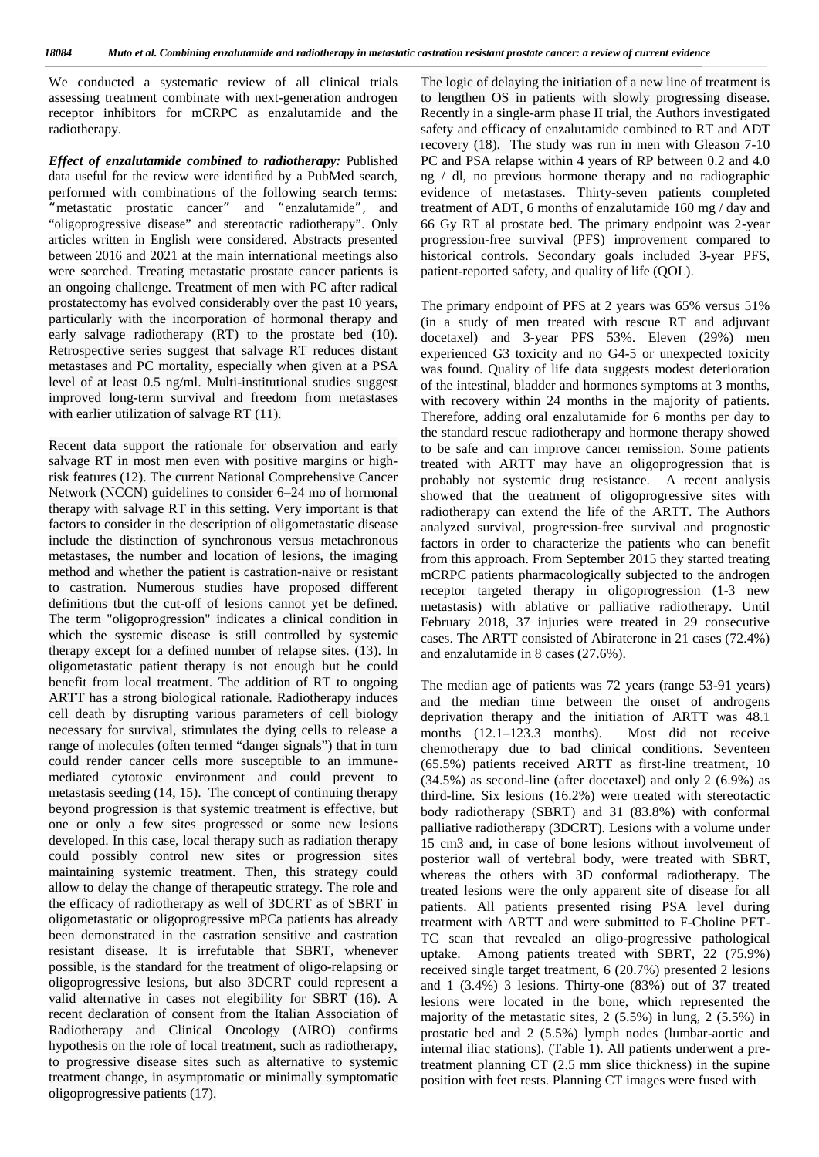We conducted a systematic review of all clinical trials assessing treatment combinate with next-generation androgen receptor inhibitors for mCRPC as enzalutamide and the radiotherapy.

*Effect of enzalutamide combined to radiotherapy:* Published data useful for the review were identified by a PubMed search, performed with combinations of the following search terms: *"*metastatic prostatic cancer*"* and *"*enzalutamide*",* and "oligoprogressive disease" and stereotactic radiotherapy"*.* Only articles written in English were considered. Abstracts presented between 2016 and 2021 at the main international meetings also were searched. Treating metastatic prostate cancer patients is an ongoing challenge. Treatment of men with PC after radical prostatectomy has evolved considerably over the past 10 years, particularly with the incorporation of hormonal therapy and early salvage radiotherapy (RT) to the prostate bed (10). Retrospective series suggest that salvage RT reduces distant metastases and PC mortality, especially when given at a PSA level of at least 0.5 ng/ml. Multi-institutional studies suggest improved long-term survival and freedom from metastases with earlier utilization of salvage RT (11).

Recent data support the rationale for observation and early salvage RT in most men even with positive margins or highrisk features (12). The current National Comprehensive Cancer Network (NCCN) guidelines to consider 6–24 mo of hormonal therapy with salvage RT in this setting. Very important is that factors to consider in the description of oligometastatic disease include the distinction of synchronous versus metachronous metastases, the number and location of lesions, the imaging method and whether the patient is castration-naive or resistant to castration. Numerous studies have proposed different definitions tbut the cut-off of lesions cannot yet be defined. The term "oligoprogression" indicates a clinical condition in which the systemic disease is still controlled by systemic therapy except for a defined number of relapse sites. (13). In oligometastatic patient therapy is not enough but he could benefit from local treatment. The addition of RT to ongoing ARTT has a strong biological rationale. Radiotherapy induces cell death by disrupting various parameters of cell biology necessary for survival, stimulates the dying cells to release a range of molecules (often termed "danger signals") that in turn could render cancer cells more susceptible to an immune mediated cytotoxic environment and could prevent to metastasis seeding (14, 15). The concept of continuing therapy beyond progression is that systemic treatment is effective, but one or only a few sites progressed or some new lesions developed. In this case, local therapy such as radiation therapy could possibly control new sites or progression sites maintaining systemic treatment. Then, this strategy could allow to delay the change of therapeutic strategy. The role and the efficacy of radiotherapy as well of 3DCRT as of SBRT in oligometastatic or oligoprogressive mPCa patients has already been demonstrated in the castration sensitive and castration resistant disease. It is irrefutable that SBRT, whenever possible, is the standard for the treatment of oligo-relapsing or oligoprogressive lesions, but also 3DCRT could represent a valid alternative in cases not elegibility for SBRT (16). A recent declaration of consent from the Italian Association of Radiotherapy and Clinical Oncology (AIRO) confirms hypothesis on the role of local treatment, such as radiotherapy, to progressive disease sites such as alternative to systemic treatment change, in asymptomatic or minimally symptomatic oligoprogressive patients (17).

The logic of delaying the initiation of a new line of treatment is to lengthen OS in patients with slowly progressing disease. Recently in a single-arm phase II trial, the Authors investigated safety and efficacy of enzalutamide combined to RT and ADT recovery (18). The study was run in men with Gleason 7-10 PC and PSA relapse within 4 years of RP between 0.2 and 4.0 ng / dl, no previous hormone therapy and no radiographic evidence of metastases. Thirty-seven patients completed treatment of ADT, 6 months of enzalutamide 160 mg / day and 66 Gy RT al prostate bed. The primary endpoint was 2-year progression-free survival (PFS) improvement compared to historical controls. Secondary goals included 3-year PFS, patient-reported safety, and quality of life (QOL).

The primary endpoint of PFS at 2 years was 65% versus 51% (in a study of men treated with rescue RT and adjuvant docetaxel) and 3-year PFS 53%. Eleven (29%) men experienced G3 toxicity and no G4-5 or unexpected toxicity was found. Quality of life data suggests modest deterioration of the intestinal, bladder and hormones symptoms at 3 months, with recovery within 24 months in the majority of patients. Therefore, adding oral enzalutamide for 6 months per day to the standard rescue radiotherapy and hormone therapy showed to be safe and can improve cancer remission. Some patients treated with ARTT may have an oligoprogression that is probably not systemic drug resistance. A recent analysis showed that the treatment of oligoprogressive sites with radiotherapy can extend the life of the ARTT. The Authors analyzed survival, progression-free survival and prognostic factors in order to characterize the patients who can benefit from this approach. From September 2015 they started treating mCRPC patients pharmacologically subjected to the androgen receptor targeted therapy in oligoprogression (1-3 new metastasis) with ablative or palliative radiotherapy. Until February 2018, 37 injuries were treated in 29 consecutive cases. The ARTT consisted of Abiraterone in 21 cases (72.4%) and enzalutamide in 8 cases (27.6%).

The median age of patients was 72 years (range 53-91 years) and the median time between the onset of androgens deprivation therapy and the initiation of ARTT was 48.1 months (12.1–123.3 months). Most did not receive chemotherapy due to bad clinical conditions. Seventeen (65.5%) patients received ARTT as first-line treatment, 10 (34.5%) as second-line (after docetaxel) and only 2 (6.9%) as third-line. Six lesions (16.2%) were treated with stereotactic body radiotherapy (SBRT) and 31 (83.8%) with conformal palliative radiotherapy (3DCRT). Lesions with a volume under 15 cm3 and, in case of bone lesions without involvement of posterior wall of vertebral body, were treated with SBRT, whereas the others with 3D conformal radiotherapy. The treated lesions were the only apparent site of disease for all patients. All patients presented rising PSA level during treatment with ARTT and were submitted to F-Choline PET- TC scan that revealed an oligo-progressive pathological uptake. Among patients treated with SBRT, 22 (75.9%) received single target treatment, 6 (20.7%) presented 2 lesions and 1 (3.4%) 3 lesions. Thirty-one (83%) out of 37 treated lesions were located in the bone, which represented the majority of the metastatic sites, 2 (5.5%) in lung, 2 (5.5%) in prostatic bed and 2 (5.5%) lymph nodes (lumbar-aortic and internal iliac stations). (Table 1). All patients underwent a pretreatment planning CT (2.5 mm slice thickness) in the supine position with feet rests. Planning CT images were fused with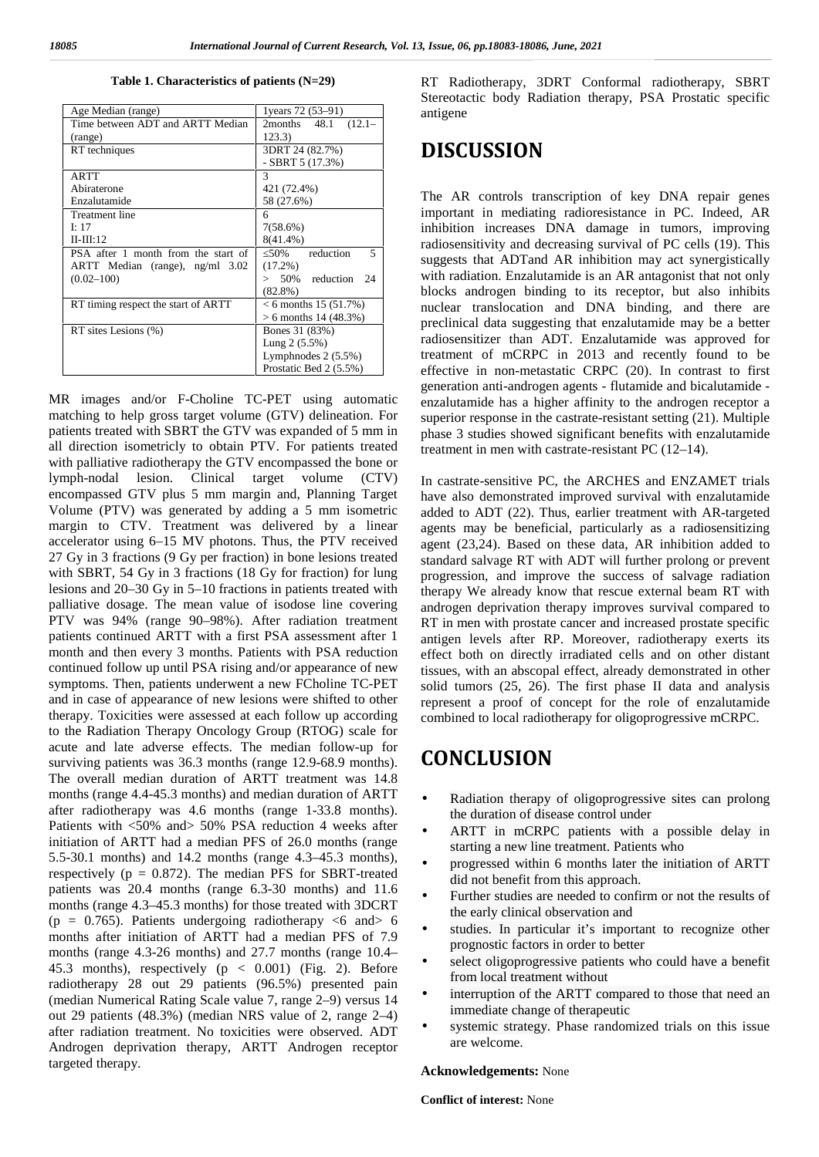| Age Median (range)                  | 1 years 72 (53–91)        |
|-------------------------------------|---------------------------|
| Time between ADT and ARTT Median    | 2months 48.1<br>$(12.1 -$ |
| (range)                             | 123.3)                    |
| RT techniques                       | 3DRT 24 (82.7%)           |
|                                     | $-$ SBRT 5 (17.3%)        |
| ARTT                                | 3                         |
| Abiraterone                         | 421 (72.4%)               |
| Enzalutamide                        | 58 (27.6%)                |
| <b>Treatment line</b>               | 6                         |
| I: 17                               | $7(58.6\%)$               |
| $II-III:12$                         | $8(41.4\%)$               |
| PSA after 1 month from the start of | reduction<br>5<br>50%     |
| ARTT Median (range), ng/ml 3.02     | $(17.2\%)$                |
| $(0.02 - 100)$                      | $> 50\%$ reduction 24     |
|                                     | $(82.8\%)$                |
| RT timing respect the start of ARTT | $< 6$ months 15 (51.7%)   |
|                                     | $> 6$ months 14 (48.3%)   |
| RT sites Lesions (%)                | Bones 31 (83%)            |
|                                     | Lung $2(5.5\%)$           |
|                                     | Lymphnodes $2(5.5%)$      |
|                                     | Prostatic Bed 2 (5.5%)    |

#### **Table 1. Characteristics of patients (N=29)**

MR images and/or F-Choline TC-PET using automatic matching to help gross target volume (GTV) delineation. For patients treated with SBRT the GTV was expanded of 5 mm in all direction isometricly to obtain PTV. For patients treated with palliative radiotherapy the GTV encompassed the bone or lymph-nodal lesion. Clinical target volume (CTV) encompassed GTV plus 5 mm margin and, Planning Target Volume (PTV) was generated by adding a 5 mm isometric margin to CTV. Treatment was delivered by a linear accelerator using 6–15 MV photons. Thus, the PTV received 27 Gy in 3 fractions (9 Gy per fraction) in bone lesions treated with SBRT, 54 Gy in 3 fractions (18 Gy for fraction) for lung lesions and 20–30 Gy in 5–10 fractions in patients treated with palliative dosage. The mean value of isodose line covering PTV was 94% (range 90–98%). After radiation treatment patients continued ARTT with a first PSA assessment after 1 month and then every 3 months. Patients with PSA reduction continued follow up until PSA rising and/or appearance of new symptoms. Then, patients underwent a new FCholine TC-PET and in case of appearance of new lesions were shifted to other therapy. Toxicities were assessed at each follow up according to the Radiation Therapy Oncology Group (RTOG) scale for acute and late adverse effects. The median follow-up for surviving patients was 36.3 months (range 12.9-68.9 months). The overall median duration of ARTT treatment was 14.8 months (range 4.4-45.3 months) and median duration of ARTT after radiotherapy was 4.6 months (range 1-33.8 months). Patients with <50% and> 50% PSA reduction 4 weeks after initiation of ARTT had a median PFS of 26.0 months (range 5.5-30.1 months) and 14.2 months (range 4.3–45.3 months), respectively ( $p = 0.872$ ). The median PFS for SBRT-treated patients was 20.4 months (range 6.3-30 months) and 11.6 months (range 4.3–45.3 months) for those treated with 3DCRT (p = 0.765). Patients undergoing radiotherapy  $\leq 6$  and  $> 6$ months after initiation of ARTT had a median PFS of 7.9 months (range 4.3-26 months) and 27.7 months (range 10.4– 45.3 months), respectively (p < 0.001) (Fig. 2). Before radiotherapy 28 out 29 patients (96.5%) presented pain (median Numerical Rating Scale value 7, range 2–9) versus 14 out 29 patients (48.3%) (median NRS value of 2, range 2–4) after radiation treatment. No toxicities were observed. ADT Androgen deprivation therapy, ARTT Androgen receptor targeted therapy.

RT Radiotherapy, 3DRT Conformal radiotherapy, SBRT Stereotactic body Radiation therapy, PSA Prostatic specific antigene

## **DISCUSSION**

The AR controls transcription of key DNA repair genes important in mediating radioresistance in PC. Indeed, AR inhibition increases DNA damage in tumors, improving radiosensitivity and decreasing survival of PC cells (19). This suggests that ADTand AR inhibition may act synergistically with radiation. Enzalutamide is an AR antagonist that not only blocks androgen binding to its receptor, but also inhibits nuclear translocation and DNA binding, and there are preclinical data suggesting that enzalutamide may be a better radiosensitizer than ADT. Enzalutamide was approved for treatment of mCRPC in 2013 and recently found to be effective in non-metastatic CRPC (20). In contrast to first generation anti-androgen agents - flutamide and bicalutamide enzalutamide has a higher affinity to the androgen receptor a superior response in the castrate-resistant setting (21). Multiple phase 3 studies showed significant benefits with enzalutamide treatment in men with castrate-resistant PC (12–14).

In castrate-sensitive PC, the ARCHES and ENZAMET trials have also demonstrated improved survival with enzalutamide added to ADT (22). Thus, earlier treatment with AR-targeted agents may be beneficial, particularly as a radiosensitizing agent (23,24). Based on these data, AR inhibition added to standard salvage RT with ADT will further prolong or prevent progression, and improve the success of salvage radiation therapy We already know that rescue external beam RT with androgen deprivation therapy improves survival compared to RT in men with prostate cancer and increased prostate specific antigen levels after RP. Moreover, radiotherapy exerts its effect both on directly irradiated cells and on other distant tissues, with an abscopal effect, already demonstrated in other solid tumors (25, 26). The first phase II data and analysis represent a proof of concept for the role of enzalutamide combined to local radiotherapy for oligoprogressive mCRPC.

## **CONCLUSION**

- Radiation therapy of oligoprogressive sites can prolong the duration of disease control under
- ARTT in mCRPC patients with a possible delay in starting a new line treatment. Patients who
- progressed within 6 months later the initiation of ARTT did not benefit from this approach.
- Further studies are needed to confirm or not the results of the early clinical observation and
- studies. In particular it's important to recognize other prognostic factors in order to better
- select oligoprogressive patients who could have a benefit from local treatment without
- interruption of the ARTT compared to those that need an immediate change of therapeutic
- systemic strategy. Phase randomized trials on this issue are welcome.

#### **Acknowledgements:** None